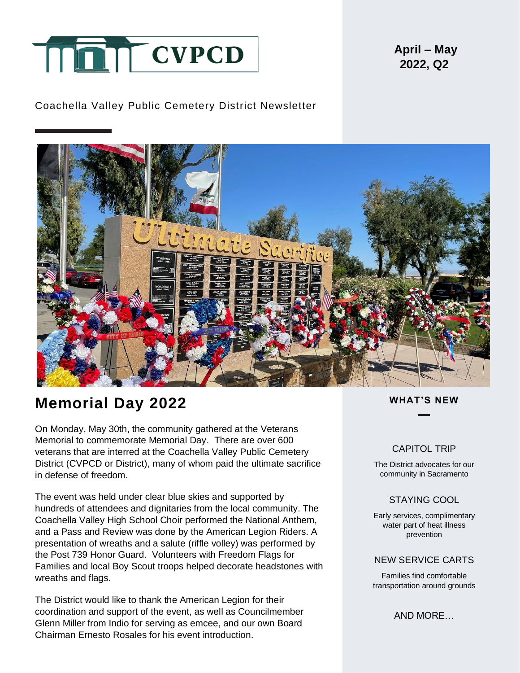

**April – May 2022, Q2**

### Coachella Valley Public Cemetery District Newsletter



### **Memorial Day 2022**

On Monday, May 30th, the community gathered at the Veterans Memorial to commemorate Memorial Day. There are over 600 veterans that are interred at the Coachella Valley Public Cemetery District (CVPCD or District), many of whom paid the ultimate sacrifice in defense of freedom.

The event was held under clear blue skies and supported by hundreds of attendees and dignitaries from the local community. The Coachella Valley High School Choir performed the National Anthem, and a Pass and Review was done by the American Legion Riders. A presentation of wreaths and a salute (riffle volley) was performed by the Post 739 Honor Guard. Volunteers with Freedom Flags for Families and local Boy Scout troops helped decorate headstones with wreaths and flags.

The District would like to thank the American Legion for their coordination and support of the event, as well as Councilmember Glenn Miller from Indio for serving as emcee, and our own Board Chairman Ernesto Rosales for his event introduction.

**WHAT'S NEW**

#### CAPITOL TRIP

The District advocates for our community in Sacramento

#### STAYING COOL

Early services, complimentary water part of heat illness prevention

#### NEW SERVICE CARTS

Families find comfortable transportation around grounds

AND MORE…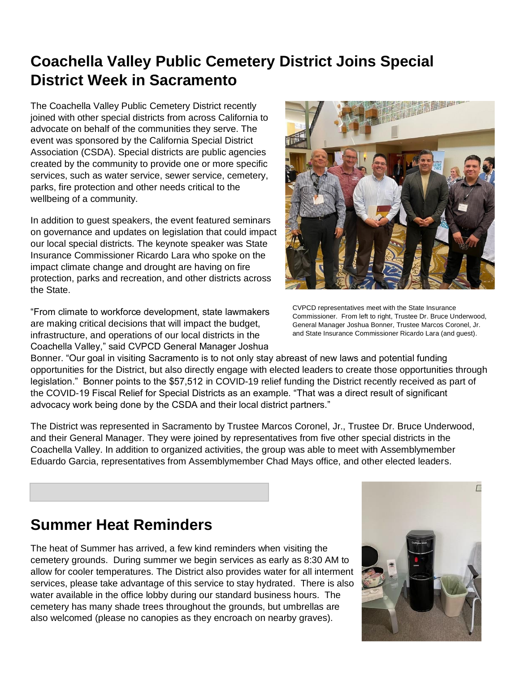# **Coachella Valley Public Cemetery District Joins Special District Week in Sacramento**

The Coachella Valley Public Cemetery District recently joined with other special districts from across California to advocate on behalf of the communities they serve. The event was sponsored by the California Special District Association (CSDA). Special districts are public agencies created by the community to provide one or more specific services, such as water service, sewer service, cemetery, parks, fire protection and other needs critical to the wellbeing of a community.

In addition to guest speakers, the event featured seminars on governance and updates on legislation that could impact our local special districts. The keynote speaker was State Insurance Commissioner Ricardo Lara who spoke on the impact climate change and drought are having on fire protection, parks and recreation, and other districts across the State.

"From climate to workforce development, state lawmakers are making critical decisions that will impact the budget, infrastructure, and operations of our local districts in the Coachella Valley," said CVPCD General Manager Joshua

Bonner. "Our goal in visiting Sacramento is to not only stay abreast of new laws and potential funding opportunities for the District, but also directly engage with elected leaders to create those opportunities through legislation." Bonner points to the \$57,512 in COVID-19 relief funding the District recently received as part of the COVID-19 Fiscal Relief for Special Districts as an example. "That was a direct result of significant advocacy work being done by the CSDA and their local district partners."

The District was represented in Sacramento by Trustee Marcos Coronel, Jr., Trustee Dr. Bruce Underwood, and their General Manager. They were joined by representatives from five other special districts in the Coachella Valley. In addition to organized activities, the group was able to meet with Assemblymember Eduardo Garcia, representatives from Assemblymember Chad Mays office, and other elected leaders.

### **Summer Heat Reminders**

The heat of Summer has arrived, a few kind reminders when visiting the cemetery grounds. During summer we begin services as early as 8:30 AM to allow for cooler temperatures. The District also provides water for all interment services, please take advantage of this service to stay hydrated. There is also water available in the office lobby during our standard business hours. The cemetery has many shade trees throughout the grounds, but umbrellas are also welcomed (please no canopies as they encroach on nearby graves).

CVPCD representatives meet with the State Insurance Commissioner. From left to right, Trustee Dr. Bruce Underwood, General Manager Joshua Bonner, Trustee Marcos Coronel, Jr. and State Insurance Commissioner Ricardo Lara (and guest).